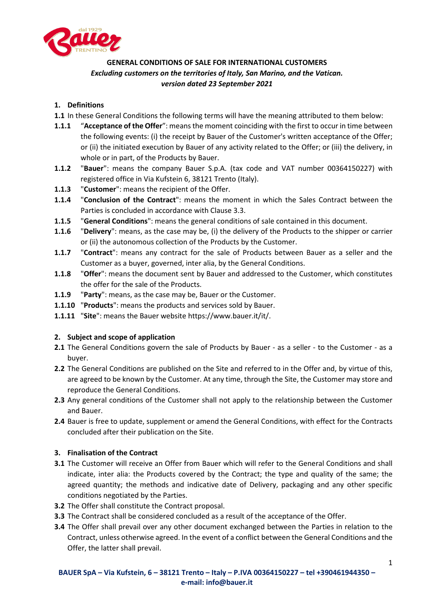

# **GENERAL CONDITIONS OF SALE FOR INTERNATIONAL CUSTOMERS** *Excluding customers on the territories of Italy, San Marino, and the Vatican. version dated 23 September 2021*

# **1. Definitions**

- **1.1** In these General Conditions the following terms will have the meaning attributed to them below:
- **1.1.1** "Acceptance of the Offer": means the moment coinciding with the first to occur in time between the following events: (i) the receipt by Bauer of the Customer's written acceptance of the Offer; or (ii) the initiated execution by Bauer of any activity related to the Offer; or (iii) the delivery, in whole or in part, of the Products by Bauer.
- **1.1.2** "**Bauer**": means the company Bauer S.p.A. (tax code and VAT number 00364150227) with registered office in Via Kufstein 6, 38121 Trento (Italy).
- **1.1.3** "**Customer**": means the recipient of the Offer.
- **1.1.4** "**Conclusion of the Contract**": means the moment in which the Sales Contract between the Parties is concluded in accordance with Clause 3.3.
- **1.1.5** "**General Conditions**": means the general conditions of sale contained in this document.
- **1.1.6** "**Delivery**": means, as the case may be, (i) the delivery of the Products to the shipper or carrier or (ii) the autonomous collection of the Products by the Customer.
- **1.1.7** "**Contract**": means any contract for the sale of Products between Bauer as a seller and the Customer as a buyer, governed, inter alia, by the General Conditions.
- **1.1.8** "**Offer**": means the document sent by Bauer and addressed to the Customer, which constitutes the offer for the sale of the Products.
- **1.1.9** "**Party**": means, as the case may be, Bauer or the Customer.
- **1.1.10** "**Products**": means the products and services sold by Bauer.
- **1.1.11** "**Site**": means the Bauer website https://www.bauer.it/it/.

## **2. Subject and scope of application**

- **2.1** The General Conditions govern the sale of Products by Bauer as a seller to the Customer as a buyer.
- **2.2** The General Conditions are published on the Site and referred to in the Offer and, by virtue of this, are agreed to be known by the Customer. At any time, through the Site, the Customer may store and reproduce the General Conditions.
- **2.3** Any general conditions of the Customer shall not apply to the relationship between the Customer and Bauer.
- **2.4** Bauer is free to update, supplement or amend the General Conditions, with effect for the Contracts concluded after their publication on the Site.

## **3. Finalisation of the Contract**

- **3.1** The Customer will receive an Offer from Bauer which will refer to the General Conditions and shall indicate, inter alia: the Products covered by the Contract; the type and quality of the same; the agreed quantity; the methods and indicative date of Delivery, packaging and any other specific conditions negotiated by the Parties.
- **3.2** The Offer shall constitute the Contract proposal.
- **3.3** The Contract shall be considered concluded as a result of the acceptance of the Offer.
- **3.4** The Offer shall prevail over any other document exchanged between the Parties in relation to the Contract, unless otherwise agreed. In the event of a conflict between the General Conditions and the Offer, the latter shall prevail.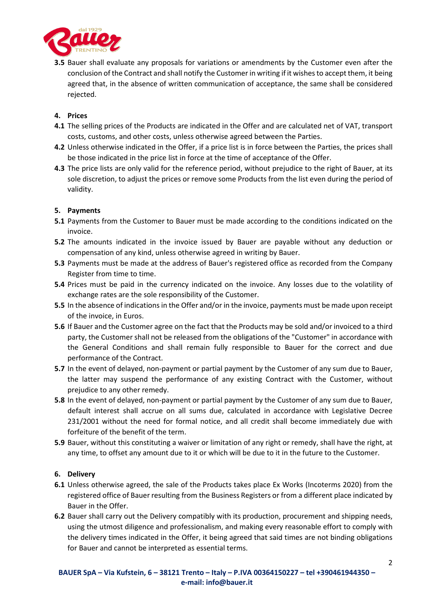

**3.5** Bauer shall evaluate any proposals for variations or amendments by the Customer even after the conclusion of the Contract and shall notify the Customer in writing if it wishesto accept them, it being agreed that, in the absence of written communication of acceptance, the same shall be considered rejected.

## **4. Prices**

- **4.1** The selling prices of the Products are indicated in the Offer and are calculated net of VAT, transport costs, customs, and other costs, unless otherwise agreed between the Parties.
- **4.2** Unless otherwise indicated in the Offer, if a price list is in force between the Parties, the prices shall be those indicated in the price list in force at the time of acceptance of the Offer.
- **4.3** The price lists are only valid for the reference period, without prejudice to the right of Bauer, at its sole discretion, to adjust the prices or remove some Products from the list even during the period of validity.

# **5. Payments**

- **5.1** Payments from the Customer to Bauer must be made according to the conditions indicated on the invoice.
- **5.2** The amounts indicated in the invoice issued by Bauer are payable without any deduction or compensation of any kind, unless otherwise agreed in writing by Bauer.
- **5.3** Payments must be made at the address of Bauer's registered office as recorded from the Company Register from time to time.
- **5.4** Prices must be paid in the currency indicated on the invoice. Any losses due to the volatility of exchange rates are the sole responsibility of the Customer.
- **5.5** In the absence of indications in the Offer and/or in the invoice, payments must be made upon receipt of the invoice, in Euros.
- **5.6** If Bauer and the Customer agree on the fact that the Products may be sold and/or invoiced to a third party, the Customer shall not be released from the obligations of the "Customer" in accordance with the General Conditions and shall remain fully responsible to Bauer for the correct and due performance of the Contract.
- **5.7** In the event of delayed, non-payment or partial payment by the Customer of any sum due to Bauer, the latter may suspend the performance of any existing Contract with the Customer, without prejudice to any other remedy.
- **5.8** In the event of delayed, non-payment or partial payment by the Customer of any sum due to Bauer, default interest shall accrue on all sums due, calculated in accordance with Legislative Decree 231/2001 without the need for formal notice, and all credit shall become immediately due with forfeiture of the benefit of the term.
- **5.9** Bauer, without this constituting a waiver or limitation of any right or remedy, shall have the right, at any time, to offset any amount due to it or which will be due to it in the future to the Customer.

## **6. Delivery**

- **6.1** Unless otherwise agreed, the sale of the Products takes place Ex Works (Incoterms 2020) from the registered office of Bauer resulting from the Business Registers or from a different place indicated by Bauer in the Offer.
- **6.2** Bauer shall carry out the Delivery compatibly with its production, procurement and shipping needs, using the utmost diligence and professionalism, and making every reasonable effort to comply with the delivery times indicated in the Offer, it being agreed that said times are not binding obligations for Bauer and cannot be interpreted as essential terms.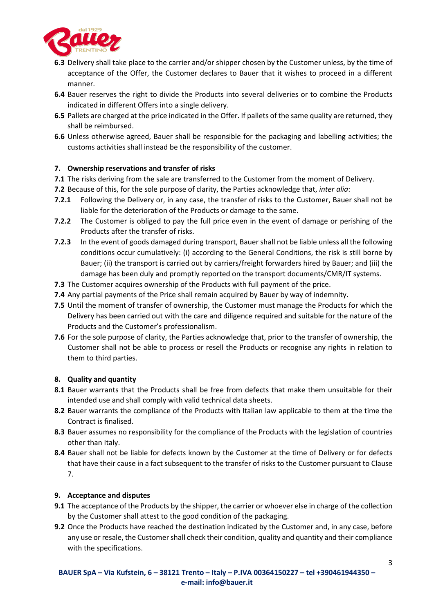

- **6.3** Delivery shall take place to the carrier and/or shipper chosen by the Customer unless, by the time of acceptance of the Offer, the Customer declares to Bauer that it wishes to proceed in a different manner.
- **6.4** Bauer reserves the right to divide the Products into several deliveries or to combine the Products indicated in different Offers into a single delivery.
- **6.5** Pallets are charged at the price indicated in the Offer. If pallets of the same quality are returned, they shall be reimbursed.
- **6.6** Unless otherwise agreed, Bauer shall be responsible for the packaging and labelling activities; the customs activities shall instead be the responsibility of the customer.

## **7. Ownership reservations and transfer of risks**

- **7.1** The risks deriving from the sale are transferred to the Customer from the moment of Delivery.
- **7.2** Because of this, for the sole purpose of clarity, the Parties acknowledge that, *inter alia*:
- **7.2.1** Following the Delivery or, in any case, the transfer of risks to the Customer, Bauer shall not be liable for the deterioration of the Products or damage to the same.
- **7.2.2** The Customer is obliged to pay the full price even in the event of damage or perishing of the Products after the transfer of risks.
- **7.2.3** In the event of goods damaged during transport, Bauer shall not be liable unless all the following conditions occur cumulatively: (i) according to the General Conditions, the risk is still borne by Bauer; (ii) the transport is carried out by carriers/freight forwarders hired by Bauer; and (iii) the damage has been duly and promptly reported on the transport documents/CMR/IT systems.
- **7.3** The Customer acquires ownership of the Products with full payment of the price.
- **7.4** Any partial payments of the Price shall remain acquired by Bauer by way of indemnity.
- **7.5** Until the moment of transfer of ownership, the Customer must manage the Products for which the Delivery has been carried out with the care and diligence required and suitable for the nature of the Products and the Customer's professionalism.
- **7.6** For the sole purpose of clarity, the Parties acknowledge that, prior to the transfer of ownership, the Customer shall not be able to process or resell the Products or recognise any rights in relation to them to third parties.

## **8. Quality and quantity**

- **8.1** Bauer warrants that the Products shall be free from defects that make them unsuitable for their intended use and shall comply with valid technical data sheets.
- **8.2** Bauer warrants the compliance of the Products with Italian law applicable to them at the time the Contract is finalised.
- **8.3** Bauer assumes no responsibility for the compliance of the Products with the legislation of countries other than Italy.
- **8.4** Bauer shall not be liable for defects known by the Customer at the time of Delivery or for defects that have their cause in a fact subsequent to the transfer of risks to the Customer pursuant to Clause 7.

## **9. Acceptance and disputes**

- **9.1** The acceptance of the Products by the shipper, the carrier or whoever else in charge of the collection by the Customer shall attest to the good condition of the packaging.
- **9.2** Once the Products have reached the destination indicated by the Customer and, in any case, before any use or resale, the Customer shall check their condition, quality and quantity and their compliance with the specifications.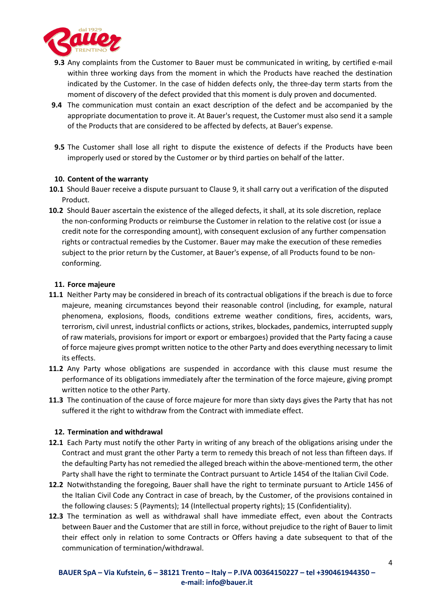

- **9.3** Any complaints from the Customer to Bauer must be communicated in writing, by certified e-mail within three working days from the moment in which the Products have reached the destination indicated by the Customer. In the case of hidden defects only, the three-day term starts from the moment of discovery of the defect provided that this moment is duly proven and documented.
- **9.4** The communication must contain an exact description of the defect and be accompanied by the appropriate documentation to prove it. At Bauer's request, the Customer must also send it a sample of the Products that are considered to be affected by defects, at Bauer's expense.
- **9.5** The Customer shall lose all right to dispute the existence of defects if the Products have been improperly used or stored by the Customer or by third parties on behalf of the latter.

### **10. Content of the warranty**

- **10.1** Should Bauer receive a dispute pursuant to Clause 9, it shall carry out a verification of the disputed Product.
- **10.2** Should Bauer ascertain the existence of the alleged defects, it shall, at its sole discretion, replace the non-conforming Products or reimburse the Customer in relation to the relative cost (or issue a credit note for the corresponding amount), with consequent exclusion of any further compensation rights or contractual remedies by the Customer. Bauer may make the execution of these remedies subject to the prior return by the Customer, at Bauer's expense, of all Products found to be nonconforming.

### **11. Force majeure**

- **11.1** Neither Party may be considered in breach of its contractual obligations if the breach is due to force majeure, meaning circumstances beyond their reasonable control (including, for example, natural phenomena, explosions, floods, conditions extreme weather conditions, fires, accidents, wars, terrorism, civil unrest, industrial conflicts or actions, strikes, blockades, pandemics, interrupted supply of raw materials, provisions for import or export or embargoes) provided that the Party facing a cause of force majeure gives prompt written notice to the other Party and does everything necessary to limit its effects.
- **11.2** Any Party whose obligations are suspended in accordance with this clause must resume the performance of its obligations immediately after the termination of the force majeure, giving prompt written notice to the other Party.
- **11.3** The continuation of the cause of force majeure for more than sixty days gives the Party that has not suffered it the right to withdraw from the Contract with immediate effect.

### **12. Termination and withdrawal**

- **12.1** Each Party must notify the other Party in writing of any breach of the obligations arising under the Contract and must grant the other Party a term to remedy this breach of not less than fifteen days. If the defaulting Party has not remedied the alleged breach within the above-mentioned term, the other Party shall have the right to terminate the Contract pursuant to Article 1454 of the Italian Civil Code.
- **12.2** Notwithstanding the foregoing, Bauer shall have the right to terminate pursuant to Article 1456 of the Italian Civil Code any Contract in case of breach, by the Customer, of the provisions contained in the following clauses: 5 (Payments); 14 (Intellectual property rights); 15 (Confidentiality).
- **12.3** The termination as well as withdrawal shall have immediate effect, even about the Contracts between Bauer and the Customer that are still in force, without prejudice to the right of Bauer to limit their effect only in relation to some Contracts or Offers having a date subsequent to that of the communication of termination/withdrawal.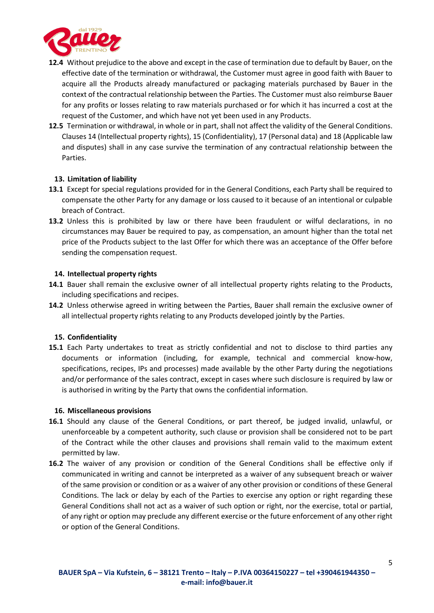

- **12.4** Without prejudice to the above and except in the case of termination due to default by Bauer, on the effective date of the termination or withdrawal, the Customer must agree in good faith with Bauer to acquire all the Products already manufactured or packaging materials purchased by Bauer in the context of the contractual relationship between the Parties. The Customer must also reimburse Bauer for any profits or losses relating to raw materials purchased or for which it has incurred a cost at the request of the Customer, and which have not yet been used in any Products.
- **12.5** Termination or withdrawal, in whole or in part, shall not affect the validity of the General Conditions. Clauses 14 (Intellectual property rights), 15 (Confidentiality), 17 (Personal data) and 18 (Applicable law and disputes) shall in any case survive the termination of any contractual relationship between the Parties.

### **13. Limitation of liability**

- **13.1** Except for special regulations provided for in the General Conditions, each Party shall be required to compensate the other Party for any damage or loss caused to it because of an intentional or culpable breach of Contract.
- **13.2** Unless this is prohibited by law or there have been fraudulent or wilful declarations, in no circumstances may Bauer be required to pay, as compensation, an amount higher than the total net price of the Products subject to the last Offer for which there was an acceptance of the Offer before sending the compensation request.

### **14. Intellectual property rights**

- **14.1** Bauer shall remain the exclusive owner of all intellectual property rights relating to the Products, including specifications and recipes.
- **14.2** Unless otherwise agreed in writing between the Parties, Bauer shall remain the exclusive owner of all intellectual property rights relating to any Products developed jointly by the Parties.

### **15. Confidentiality**

**15.1** Each Party undertakes to treat as strictly confidential and not to disclose to third parties any documents or information (including, for example, technical and commercial know-how, specifications, recipes, IPs and processes) made available by the other Party during the negotiations and/or performance of the sales contract, except in cases where such disclosure is required by law or is authorised in writing by the Party that owns the confidential information.

### **16. Miscellaneous provisions**

- **16.1** Should any clause of the General Conditions, or part thereof, be judged invalid, unlawful, or unenforceable by a competent authority, such clause or provision shall be considered not to be part of the Contract while the other clauses and provisions shall remain valid to the maximum extent permitted by law.
- **16.2** The waiver of any provision or condition of the General Conditions shall be effective only if communicated in writing and cannot be interpreted as a waiver of any subsequent breach or waiver of the same provision or condition or as a waiver of any other provision or conditions of these General Conditions. The lack or delay by each of the Parties to exercise any option or right regarding these General Conditions shall not act as a waiver of such option or right, nor the exercise, total or partial, of any right or option may preclude any different exercise or the future enforcement of any other right or option of the General Conditions.